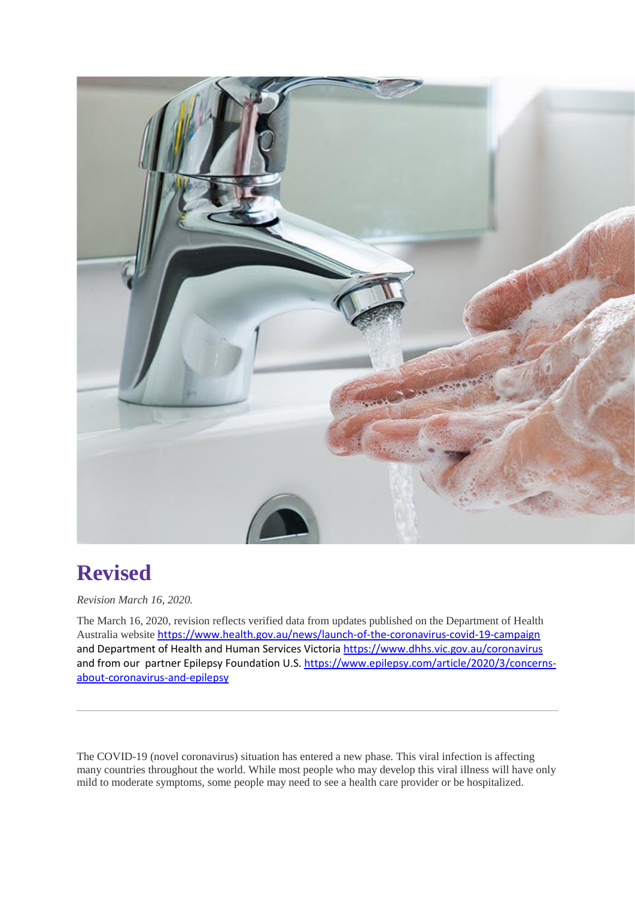

#### **Revised**

*Revision March 16, 2020.*

The March 16, 2020, revision reflects verified data from updates published on the Department of Health Australia website <https://www.health.gov.au/news/launch-of-the-coronavirus-covid-19-campaign> and Department of Health and Human Services Victoria<https://www.dhhs.vic.gov.au/coronavirus> and from our partner Epilepsy Foundation U.S. [https://www.epilepsy.com/article/2020/3/concerns](https://www.epilepsy.com/article/2020/3/concerns-about-coronavirus-and-epilepsy)[about-coronavirus-and-epilepsy](https://www.epilepsy.com/article/2020/3/concerns-about-coronavirus-and-epilepsy)

The COVID-19 (novel coronavirus) situation has entered a new phase. This viral infection is affecting many countries throughout the world. While most people who may develop this viral illness will have only mild to moderate symptoms, some people may need to see a health care provider or be hospitalized.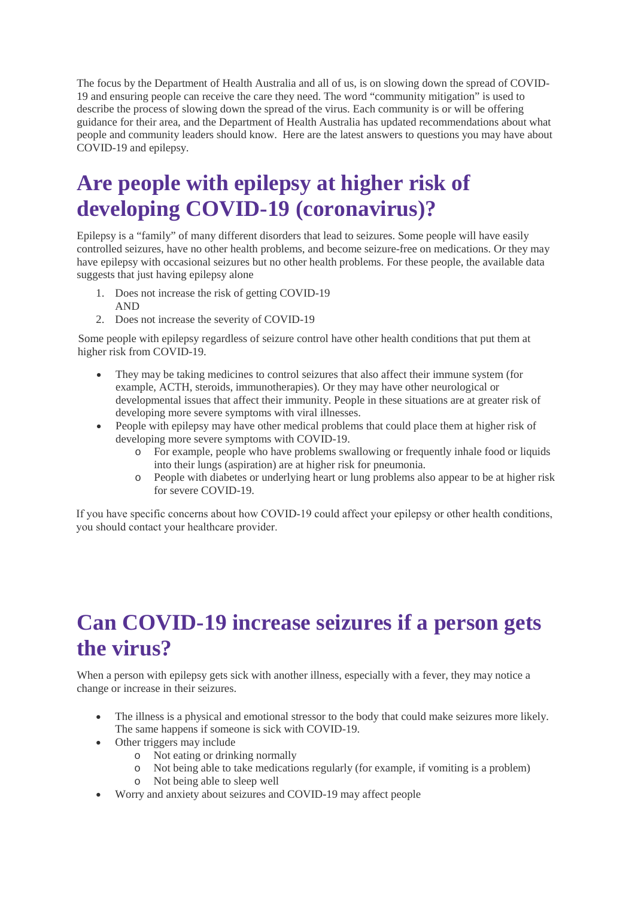The focus by the Department of Health Australia and all of us, is on slowing down the spread of COVID-19 and ensuring people can receive the care they need. The word "community mitigation" is used to describe the process of slowing down the spread of the virus. Each community is or will be offering guidance for their area, and the Department of Health Australia has updated recommendations about what people and community leaders should know. Here are the latest answers to questions you may have about COVID-19 and epilepsy.

# **Are people with epilepsy at higher risk of developing COVID-19 (coronavirus)?**

Epilepsy is a "family" of many different disorders that lead to seizures. Some people will have easily controlled seizures, have no other health problems, and become seizure-free on medications. Or they may have epilepsy with occasional seizures but no other health problems. For these people, the available data suggests that just having epilepsy alone

- 1. Does not increase the risk of getting COVID-19 AND
- 2. Does not increase the severity of COVID-19

Some people with epilepsy regardless of seizure control have other health conditions that put them at higher risk from COVID-19.

- They may be taking medicines to control seizures that also affect their immune system (for example, ACTH, steroids, immunotherapies). Or they may have other neurological or developmental issues that affect their immunity. People in these situations are at greater risk of developing more severe symptoms with viral illnesses.
- People with epilepsy may have other medical problems that could place them at higher risk of developing more severe symptoms with COVID-19.
	- o For example, people who have problems swallowing or frequently inhale food or liquids into their lungs (aspiration) are at higher risk for pneumonia.
	- o People with diabetes or underlying heart or lung problems also appear to be at higher risk for severe COVID-19.

If you have specific concerns about how COVID-19 could affect your epilepsy or other health conditions, you should contact your healthcare provider.

#### **Can COVID-19 increase seizures if a person gets the virus?**

When a person with epilepsy gets sick with another illness, especially with a fever, they may notice a change or increase in their seizures.

- The illness is a physical and emotional stressor to the body that could make seizures more likely. The same happens if someone is sick with COVID-19.
- Other triggers may include
	- o Not eating or drinking normally
	- o Not being able to take medications regularly (for example, if vomiting is a problem)
	- o Not being able to sleep well
- Worry and anxiety about seizures and COVID-19 may affect people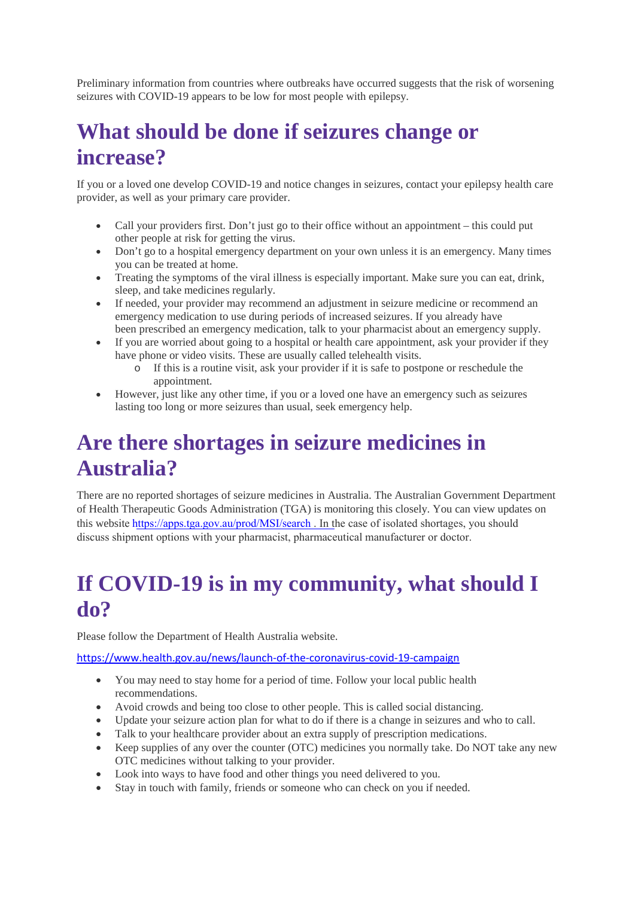Preliminary information from countries where outbreaks have occurred suggests that the risk of worsening seizures with COVID-19 appears to be low for most people with epilepsy.

# **What should be done if seizures change or increase?**

If you or a loved one develop COVID-19 and notice changes in seizures, contact your epilepsy health care provider, as well as your primary care provider.

- Call your providers first. Don't just go to their office without an appointment this could put other people at risk for getting the virus.
- Don't go to a hospital emergency department on your own unless it is an emergency. Many times you can be treated at home.
- Treating the symptoms of the viral illness is especially important. Make sure you can eat, drink, sleep, and take medicines regularly.
- If needed, your provider may recommend an adjustment in seizure medicine or recommend an emergency medication to use during periods of increased seizures. If you already have been prescribed an emergency medication, talk to your pharmacist about an emergency supply.
- If you are worried about going to a hospital or health care appointment, ask your provider if they have phone or video visits. These are usually called telehealth visits.
	- o If this is a routine visit, ask your provider if it is safe to postpone or reschedule the appointment.
- However, just like any other time, if you or a loved one have an emergency such as seizures lasting too long or more seizures than usual, seek emergency help.

#### **Are there shortages in seizure medicines in Australia?**

There are no reported shortages of seizure medicines in Australia. The Australian Government Department of Health Therapeutic Goods Administration (TGA) is monitoring this closely. You can view updates on this website <https://apps.tga.gov.au/prod/MSI/search> . In the case of isolated shortages, you should discuss shipment options with your pharmacist, pharmaceutical manufacturer or doctor.

## **If COVID-19 is in my community, what should I do?**

Please follow the Department of Health Australia website.

<https://www.health.gov.au/news/launch-of-the-coronavirus-covid-19-campaign>

- You may need to stay home for a period of time. Follow your local public health recommendations.
- Avoid crowds and being too close to other people. This is called social distancing.
- Update your seizure action plan for what to do if there is a change in seizures and who to call.
- Talk to your healthcare provider about an extra supply of prescription medications.
- Keep supplies of any over the counter (OTC) medicines you normally take. Do NOT take any new OTC medicines without talking to your provider.
- Look into ways to have food and other things you need delivered to you.
- Stay in touch with family, friends or someone who can check on you if needed.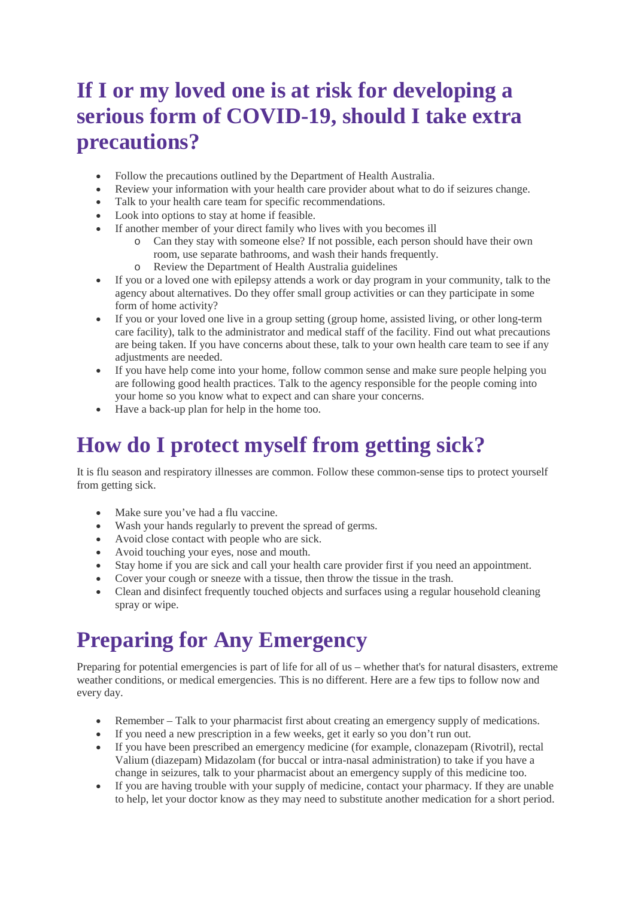## **If I or my loved one is at risk for developing a serious form of COVID-19, should I take extra precautions?**

- Follow the precautions outlined by the Department of Health Australia.
- Review your information with your health care provider about what to do if seizures change.
- Talk to your health care team for specific recommendations.
- Look into options to stay at home if feasible.
- If another member of your direct family who lives with you becomes ill
	- o Can they stay with someone else? If not possible, each person should have their own room, use separate bathrooms, and wash their hands frequently.
	- o Review the Department of Health Australia guidelines
- If you or a loved one with epilepsy attends a work or day program in your community, talk to the agency about alternatives. Do they offer small group activities or can they participate in some form of home activity?
- If you or your loved one live in a group setting (group home, assisted living, or other long-term care facility), talk to the administrator and medical staff of the facility. Find out what precautions are being taken. If you have concerns about these, talk to your own health care team to see if any adjustments are needed.
- If you have help come into your home, follow common sense and make sure people helping you are following good health practices. Talk to the agency responsible for the people coming into your home so you know what to expect and can share your concerns.
- Have a back-up plan for help in the home too.

### **How do I protect myself from getting sick?**

It is flu season and respiratory illnesses are common. Follow these common-sense tips to protect yourself from getting sick.

- Make sure you've had a flu vaccine.
- Wash your hands regularly to prevent the spread of germs.
- Avoid close contact with people who are sick.
- Avoid touching your eyes, nose and mouth.
- Stay home if you are sick and call your health care provider first if you need an appointment.
- Cover your cough or sneeze with a tissue, then throw the tissue in the trash.
- Clean and disinfect frequently touched objects and surfaces using a regular household cleaning spray or wipe.

# **Preparing for Any Emergency**

Preparing for potential emergencies is part of life for all of us – whether that's for natural disasters, extreme weather conditions, or medical emergencies. This is no different. Here are a few tips to follow now and every day.

- Remember Talk to your pharmacist first about creating an emergency supply of medications.
- If you need a new prescription in a few weeks, get it early so you don't run out.
- If you have been prescribed an emergency medicine (for example, clonazepam (Rivotril), rectal Valium (diazepam) Midazolam (for buccal or intra-nasal administration) to take if you have a change in seizures, talk to your pharmacist about an emergency supply of this medicine too.
- If you are having trouble with your supply of medicine, contact your pharmacy. If they are unable to help, let your doctor know as they may need to substitute another medication for a short period.